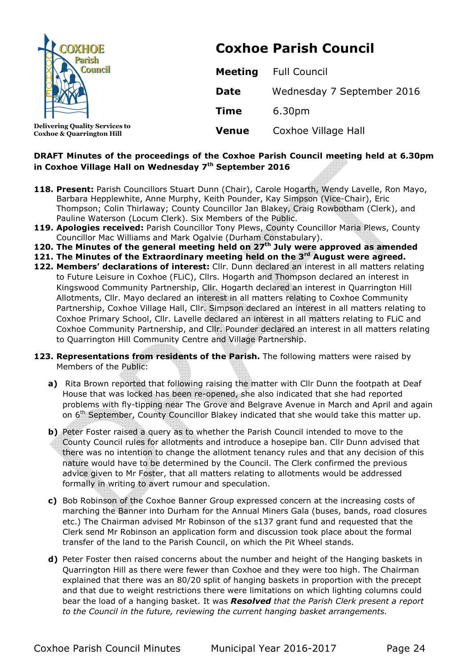| <b>COXHOE</b><br><b>Parish</b><br><b>Council</b>                              | <b>Coxhoe Parish Council</b> |                            |
|-------------------------------------------------------------------------------|------------------------------|----------------------------|
|                                                                               | <b>Meeting</b>               | <b>Full Council</b>        |
|                                                                               | <b>Date</b>                  | Wednesday 7 September 2016 |
|                                                                               | <b>Time</b>                  | 6.30pm                     |
| <b>Delivering Quality Services to</b><br><b>Coxhoe &amp; Quarrington Hill</b> | <b>Venue</b>                 | Coxhoe Village Hall        |

# **DRAFT Minutes of the proceedings of the Coxhoe Parish Council meeting held at 6.30pm in Coxhoe Village Hall on Wednesday 7th September 2016**

- **118. Present:** Parish Councillors Stuart Dunn (Chair), Carole Hogarth, Wendy Lavelle, Ron Mayo, Barbara Hepplewhite, Anne Murphy, Keith Pounder, Kay Simpson (Vice-Chair), Eric Thompson; Colin Thirlaway; County Councillor Jan Blakey, Craig Rowbotham (Clerk), and Pauline Waterson (Locum Clerk). Six Members of the Public.
- **119. Apologies received:** Parish Councillor Tony Plews, County Councillor Maria Plews, County Councillor Mac Williams and Mark Ogalvie (Durham Constabulary).
- **120. The Minutes of the general meeting held on 27th July were approved as amended**
- **121. The Minutes of the Extraordinary meeting held on the 3 rd August were agreed.**
- **122. Members' declarations of interest:** Cllr. Dunn declared an interest in all matters relating to Future Leisure in Coxhoe (FLiC), Cllrs. Hogarth and Thompson declared an interest in Kingswood Community Partnership, Cllr. Hogarth declared an interest in Quarrington Hill Allotments, Cllr. Mayo declared an interest in all matters relating to Coxhoe Community Partnership, Coxhoe Village Hall, Cllr. Simpson declared an interest in all matters relating to Coxhoe Primary School, Cllr. Lavelle declared an interest in all matters relating to FLiC and Coxhoe Community Partnership, and Cllr. Pounder declared an interest in all matters relating to Quarrington Hill Community Centre and Village Partnership.
- 123. Representations from residents of the Parish. The following matters were raised by Members of the Public:
	- **a)** Rita Brown reported that following raising the matter with Cllr Dunn the footpath at Deaf House that was locked has been re-opened, she also indicated that she had reported problems with fly-tipping near The Grove and Belgrave Avenue in March and April and again on 6<sup>th</sup> September, County Councillor Blakey indicated that she would take this matter up.
	- **b)** Peter Foster raised a query as to whether the Parish Council intended to move to the County Council rules for allotments and introduce a hosepipe ban. Cllr Dunn advised that there was no intention to change the allotment tenancy rules and that any decision of this nature would have to be determined by the Council. The Clerk confirmed the previous advice given to Mr Foster, that all matters relating to allotments would be addressed formally in writing to avert rumour and speculation.
	- **c)** Bob Robinson of the Coxhoe Banner Group expressed concern at the increasing costs of marching the Banner into Durham for the Annual Miners Gala (buses, bands, road closures etc.) The Chairman advised Mr Robinson of the s137 grant fund and requested that the Clerk send Mr Robinson an application form and discussion took place about the formal transfer of the land to the Parish Council, on which the Pit Wheel stands.
	- **d)** Peter Foster then raised concerns about the number and height of the Hanging baskets in Quarrington Hill as there were fewer than Coxhoe and they were too high. The Chairman explained that there was an 80/20 split of hanging baskets in proportion with the precept and that due to weight restrictions there were limitations on which lighting columns could bear the load of a hanging basket. It was *Resolved that the Parish Clerk present a report to the Council in the future, reviewing the current hanging basket arrangements.*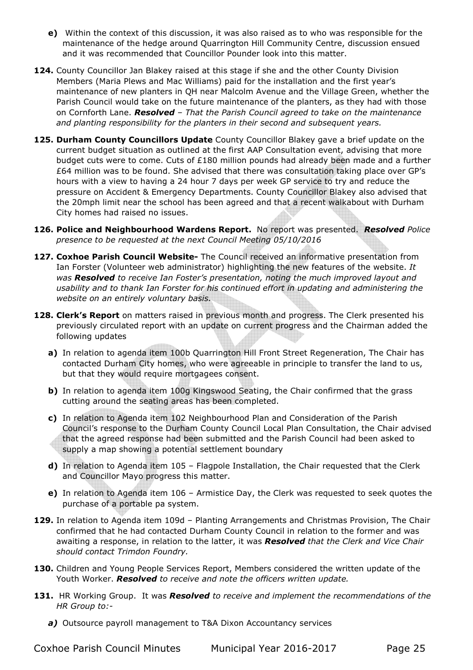- **e)** Within the context of this discussion, it was also raised as to who was responsible for the maintenance of the hedge around Quarrington Hill Community Centre, discussion ensued and it was recommended that Councillor Pounder look into this matter.
- **124.** County Councillor Jan Blakey raised at this stage if she and the other County Division Members (Maria Plews and Mac Williams) paid for the installation and the first year's maintenance of new planters in QH near Malcolm Avenue and the Village Green, whether the Parish Council would take on the future maintenance of the planters, as they had with those on Cornforth Lane. *Resolved – That the Parish Council agreed to take on the maintenance and planting responsibility for the planters in their second and subsequent years.*
- **125. Durham County Councillors Update** County Councillor Blakey gave a brief update on the current budget situation as outlined at the first AAP Consultation event, advising that more budget cuts were to come. Cuts of £180 million pounds had already been made and a further £64 million was to be found. She advised that there was consultation taking place over GP's hours with a view to having a 24 hour 7 days per week GP service to try and reduce the pressure on Accident & Emergency Departments. County Councillor Blakey also advised that the 20mph limit near the school has been agreed and that a recent walkabout with Durham City homes had raised no issues.
- **126. Police and Neighbourhood Wardens Report.** No report was presented. *Resolved Police presence to be requested at the next Council Meeting 05/10/2016*
- **127. Coxhoe Parish Council Website-** The Council received an informative presentation from Ian Forster (Volunteer web administrator) highlighting the new features of the website. *It was Resolved to receive Ian Foster's presentation, noting the much improved layout and usability and to thank Ian Forster for his continued effort in updating and administering the website on an entirely voluntary basis.*
- **128. Clerk's Report** on matters raised in previous month and progress. The Clerk presented his previously circulated report with an update on current progress and the Chairman added the following updates
	- **a)** In relation to agenda item 100b Quarrington Hill Front Street Regeneration, The Chair has contacted Durham City homes, who were agreeable in principle to transfer the land to us, but that they would require mortgagees consent.
	- **b)** In relation to agenda item 100g Kingswood Seating, the Chair confirmed that the grass cutting around the seating areas has been completed.
	- **c)** In relation to Agenda item 102 Neighbourhood Plan and Consideration of the Parish Council's response to the Durham County Council Local Plan Consultation, the Chair advised that the agreed response had been submitted and the Parish Council had been asked to supply a map showing a potential settlement boundary
	- **d)** In relation to Agenda item 105 Flagpole Installation, the Chair requested that the Clerk and Councillor Mayo progress this matter.
	- **e)** In relation to Agenda item 106 Armistice Day, the Clerk was requested to seek quotes the purchase of a portable pa system.
- **129.** In relation to Agenda item 109d Planting Arrangements and Christmas Provision, The Chair confirmed that he had contacted Durham County Council in relation to the former and was awaiting a response, in relation to the latter, it was *Resolved that the Clerk and Vice Chair should contact Trimdon Foundry.*
- **130.** Children and Young People Services Report, Members considered the written update of the Youth Worker. *Resolved to receive and note the officers written update.*
- **131.** HR Working Group. It was *Resolved to receive and implement the recommendations of the HR Group to:* 
	- *a)* Outsource payroll management to T&A Dixon Accountancy services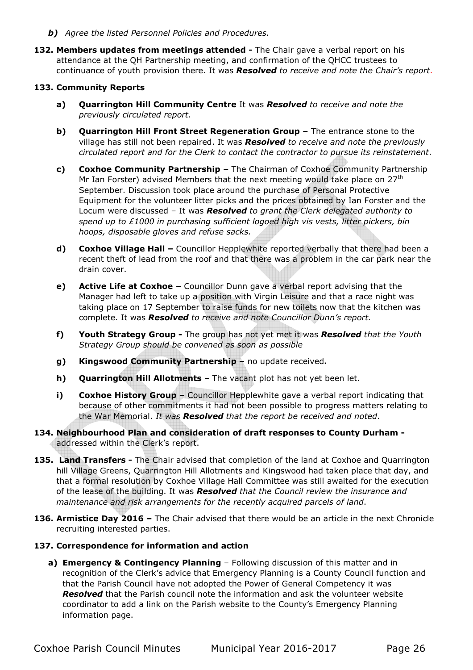- *b) Agree the listed Personnel Policies and Procedures.*
- **132. Members updates from meetings attended** The Chair gave a verbal report on his attendance at the QH Partnership meeting, and confirmation of the QHCC trustees to continuance of youth provision there. It was *Resolved to receive and note the Chair's report*.

# **133. Community Reports**

- **a) Quarrington Hill Community Centre** It was *Resolved to receive and note the previously circulated report.*
- **b) Quarrington Hill Front Street Regeneration Group –** The entrance stone to the village has still not been repaired. It was *Resolved to receive and note the previously circulated report and for the Clerk to contact the contractor to pursue its reinstatement*.
- **c) Coxhoe Community Partnership** The Chairman of Coxhoe Community Partnership Mr Ian Forster) advised Members that the next meeting would take place on  $27<sup>th</sup>$ September. Discussion took place around the purchase of Personal Protective Equipment for the volunteer litter picks and the prices obtained by Ian Forster and the Locum were discussed – It was *Resolved to grant the Clerk delegated authority to spend up to £1000 in purchasing sufficient logoed high vis vests, litter pickers, bin hoops, disposable gloves and refuse sacks.*
- **d) Coxhoe Village Hall** Councillor Hepplewhite reported verbally that there had been a recent theft of lead from the roof and that there was a problem in the car park near the drain cover.
- **e) Active Life at Coxhoe** Councillor Dunn gave a verbal report advising that the Manager had left to take up a position with Virgin Leisure and that a race night was taking place on 17 September to raise funds for new toilets now that the kitchen was complete. It was *Resolved to receive and note Councillor Dunn's report.*
- **f) Youth Strategy Group** The group has not yet met it was *Resolved that the Youth Strategy Group should be convened as soon as possible*
- **g) Kingswood Community Partnership** no update received**.**
- **h) Quarrington Hill Allotments**  The vacant plot has not yet been let.
- **i) Coxhoe History Group –** Councillor Hepplewhite gave a verbal report indicating that because of other commitments it had not been possible to progress matters relating to the War Memorial. *It was Resolved that the report be received and noted*.
- **134. Neighbourhood Plan and consideration of draft responses to County Durham**  addressed within the Clerk's report.
- **135. Land Transfers -** The Chair advised that completion of the land at Coxhoe and Quarrington hill Village Greens, Quarrington Hill Allotments and Kingswood had taken place that day, and that a formal resolution by Coxhoe Village Hall Committee was still awaited for the execution of the lease of the building. It was *Resolved that the Council review the insurance and maintenance and risk arrangements for the recently acquired parcels of land*.
- **136. Armistice Day 2016** The Chair advised that there would be an article in the next Chronicle recruiting interested parties.

## **137. Correspondence for information and action**

**a) Emergency & Contingency Planning** – Following discussion of this matter and in recognition of the Clerk's advice that Emergency Planning is a County Council function and that the Parish Council have not adopted the Power of General Competency it was *Resolved* that the Parish council note the information and ask the volunteer website coordinator to add a link on the Parish website to the County's Emergency Planning information page.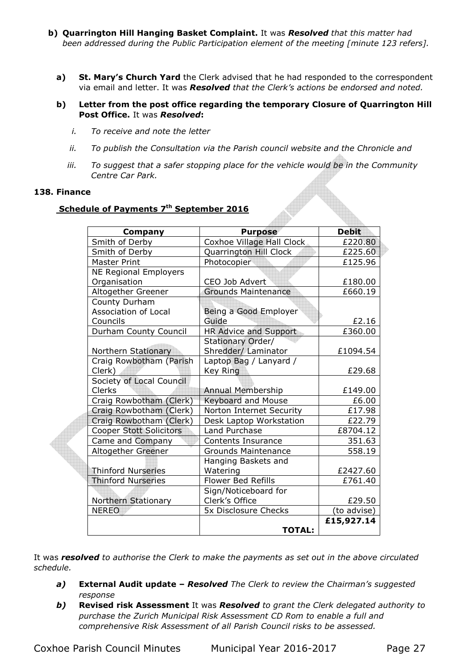- **b) Quarrington Hill Hanging Basket Complaint.** It was *Resolved that this matter had been addressed during the Public Participation element of the meeting [minute 123 refers].*
	- **a) St. Mary's Church Yard** the Clerk advised that he had responded to the correspondent via email and letter. It was *Resolved that the Clerk's actions be endorsed and noted.*
	- **b) Letter from the post office regarding the temporary Closure of Quarrington Hill Post Office.** It was *Resolved***:**
		- *i. To receive and note the letter*
		- *ii. To publish the Consultation via the Parish council website and the Chronicle and*
		- *iii. To suggest that a safer stopping place for the vehicle would be in the Community Centre Car Park.*

#### **138. Finance**

### **Schedule of Payments 7th September 2016**

| <b>Purpose</b>             | <b>Debit</b>                                    |
|----------------------------|-------------------------------------------------|
|                            | £220.80                                         |
| Quarrington Hill Clock     | £225.60                                         |
| Photocopier                | £125.96                                         |
|                            |                                                 |
| CEO Job Advert             | £180.00                                         |
| Grounds Maintenance        | £660.19                                         |
|                            |                                                 |
| Being a Good Employer      |                                                 |
| Guide                      | £2.16                                           |
| HR Advice and Support      | £360.00                                         |
| Stationary Order/          |                                                 |
| Shredder/ Laminator        | £1094.54                                        |
| Laptop Bag / Lanyard /     |                                                 |
| Key Ring                   | £29.68                                          |
|                            |                                                 |
| Annual Membership          | £149.00                                         |
| <b>Keyboard and Mouse</b>  | £6.00                                           |
| Norton Internet Security   | £17.98                                          |
| Desk Laptop Workstation    | £22.79                                          |
| Land Purchase              | £8704.12                                        |
| Contents Insurance         | 351.63                                          |
| <b>Grounds Maintenance</b> | 558.19                                          |
| Hanging Baskets and        |                                                 |
| Watering                   | £2427.60                                        |
|                            | £761.40                                         |
| Sign/Noticeboard for       |                                                 |
| Clerk's Office             | £29.50                                          |
| 5x Disclosure Checks       | (to advise)                                     |
|                            | £15,927.14                                      |
| <b>TOTAL:</b>              |                                                 |
|                            | Coxhoe Village Hall Clock<br>Flower Bed Refills |

It was *resolved to authorise the Clerk to make the payments as set out in the above circulated schedule.* 

- *a)* **External Audit update –** *Resolved The Clerk to review the Chairman's suggested response*
- *b)* **Revised risk Assessment** It was *Resolved to grant the Clerk delegated authority to purchase the Zurich Municipal Risk Assessment CD Rom to enable a full and comprehensive Risk Assessment of all Parish Council risks to be assessed.*